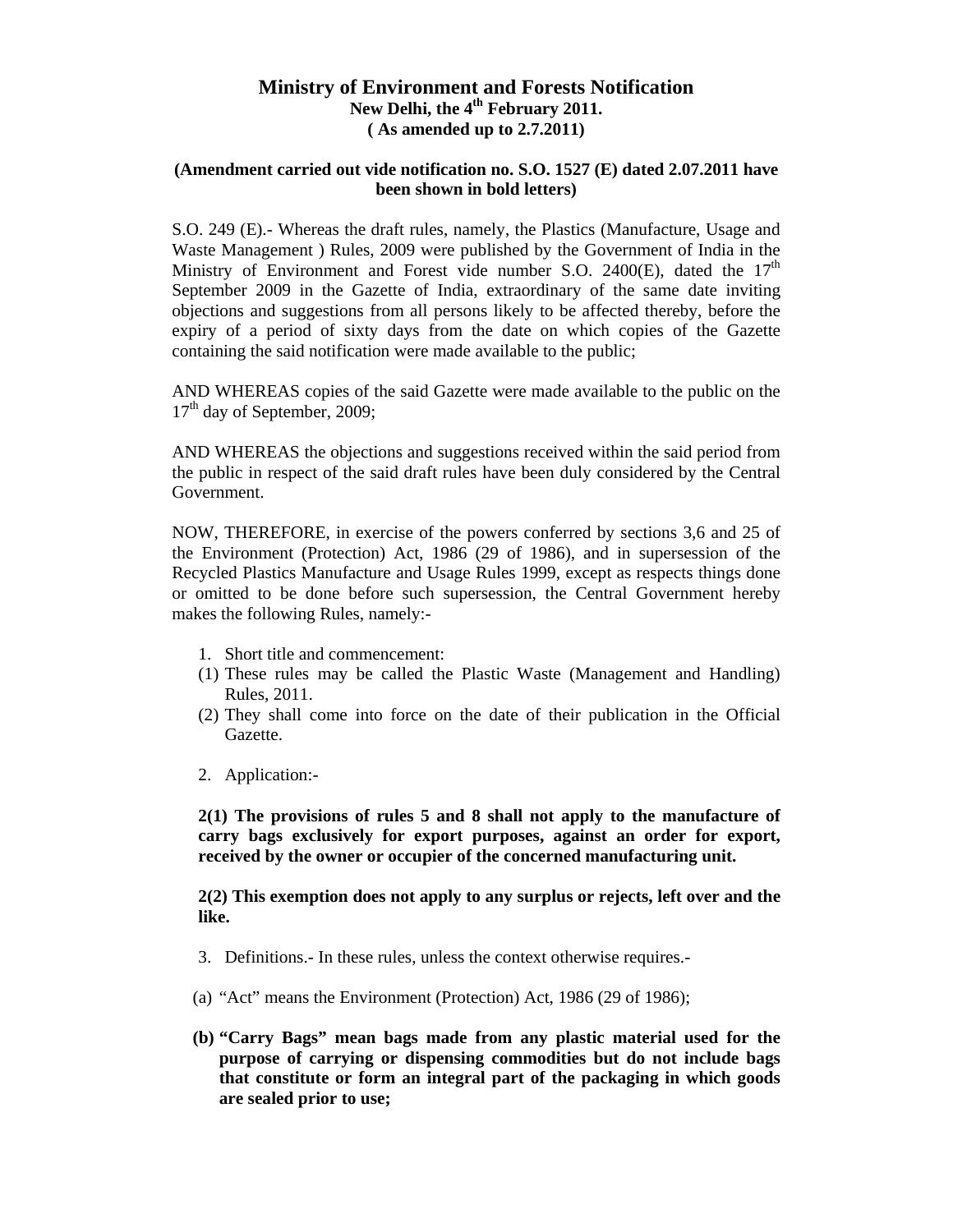## **Ministry of Environment and Forests Notification**  New Delhi, the 4<sup>th</sup> February 2011. **( As amended up to 2.7.2011)**

#### **(Amendment carried out vide notification no. S.O. 1527 (E) dated 2.07.2011 have been shown in bold letters)**

S.O. 249 (E).- Whereas the draft rules, namely, the Plastics (Manufacture, Usage and Waste Management ) Rules, 2009 were published by the Government of India in the Ministry of Environment and Forest vide number S.O. 2400 $(E)$ , dated the 17<sup>th</sup> September 2009 in the Gazette of India, extraordinary of the same date inviting objections and suggestions from all persons likely to be affected thereby, before the expiry of a period of sixty days from the date on which copies of the Gazette containing the said notification were made available to the public;

AND WHEREAS copies of the said Gazette were made available to the public on the 17<sup>th</sup> day of September, 2009;

AND WHEREAS the objections and suggestions received within the said period from the public in respect of the said draft rules have been duly considered by the Central Government.

NOW, THEREFORE, in exercise of the powers conferred by sections 3,6 and 25 of the Environment (Protection) Act, 1986 (29 of 1986), and in supersession of the Recycled Plastics Manufacture and Usage Rules 1999, except as respects things done or omitted to be done before such supersession, the Central Government hereby makes the following Rules, namely:-

- 1. Short title and commencement:
- (1) These rules may be called the Plastic Waste (Management and Handling) Rules, 2011.
- (2) They shall come into force on the date of their publication in the Official Gazette.
- 2. Application:-

**2(1) The provisions of rules 5 and 8 shall not apply to the manufacture of carry bags exclusively for export purposes, against an order for export, received by the owner or occupier of the concerned manufacturing unit.** 

**2(2) This exemption does not apply to any surplus or rejects, left over and the like.** 

- 3. Definitions.- In these rules, unless the context otherwise requires.-
- (a) "Act" means the Environment (Protection) Act, 1986 (29 of 1986);
- **(b) "Carry Bags" mean bags made from any plastic material used for the purpose of carrying or dispensing commodities but do not include bags that constitute or form an integral part of the packaging in which goods are sealed prior to use;**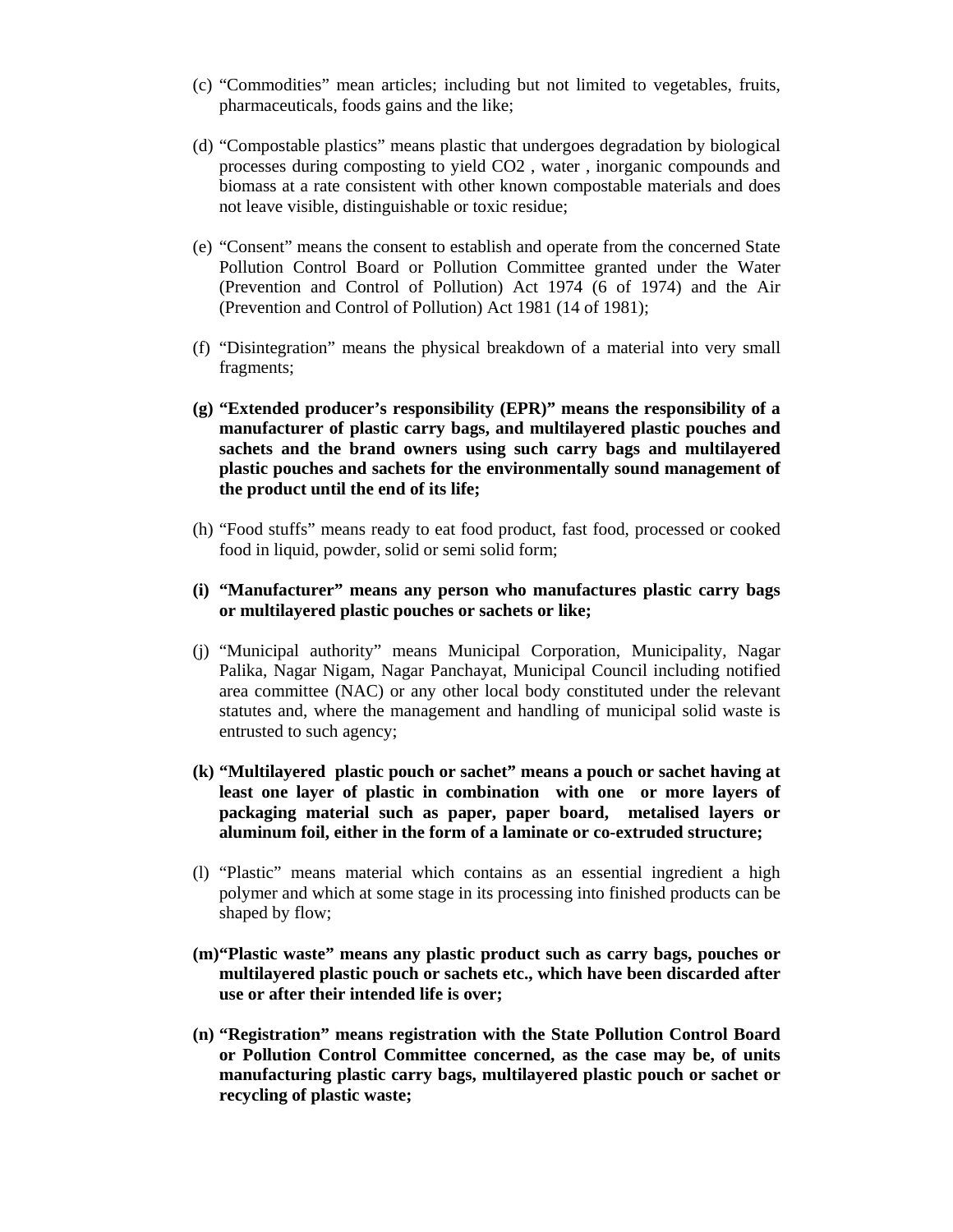- (c) "Commodities" mean articles; including but not limited to vegetables, fruits, pharmaceuticals, foods gains and the like;
- (d) "Compostable plastics" means plastic that undergoes degradation by biological processes during composting to yield CO2 , water , inorganic compounds and biomass at a rate consistent with other known compostable materials and does not leave visible, distinguishable or toxic residue;
- (e) "Consent" means the consent to establish and operate from the concerned State Pollution Control Board or Pollution Committee granted under the Water (Prevention and Control of Pollution) Act 1974 (6 of 1974) and the Air (Prevention and Control of Pollution) Act 1981 (14 of 1981);
- (f) "Disintegration" means the physical breakdown of a material into very small fragments;
- **(g) "Extended producer's responsibility (EPR)" means the responsibility of a manufacturer of plastic carry bags, and multilayered plastic pouches and sachets and the brand owners using such carry bags and multilayered plastic pouches and sachets for the environmentally sound management of the product until the end of its life;**
- (h) "Food stuffs" means ready to eat food product, fast food, processed or cooked food in liquid, powder, solid or semi solid form;
- **(i) "Manufacturer" means any person who manufactures plastic carry bags or multilayered plastic pouches or sachets or like;**
- (j) "Municipal authority" means Municipal Corporation, Municipality, Nagar Palika, Nagar Nigam, Nagar Panchayat, Municipal Council including notified area committee (NAC) or any other local body constituted under the relevant statutes and, where the management and handling of municipal solid waste is entrusted to such agency;
- **(k) "Multilayered plastic pouch or sachet" means a pouch or sachet having at least one layer of plastic in combination with one or more layers of packaging material such as paper, paper board, metalised layers or aluminum foil, either in the form of a laminate or co-extruded structure;**
- (l) "Plastic" means material which contains as an essential ingredient a high polymer and which at some stage in its processing into finished products can be shaped by flow;
- **(m)"Plastic waste" means any plastic product such as carry bags, pouches or multilayered plastic pouch or sachets etc., which have been discarded after use or after their intended life is over;**
- **(n) "Registration" means registration with the State Pollution Control Board or Pollution Control Committee concerned, as the case may be, of units manufacturing plastic carry bags, multilayered plastic pouch or sachet or recycling of plastic waste;**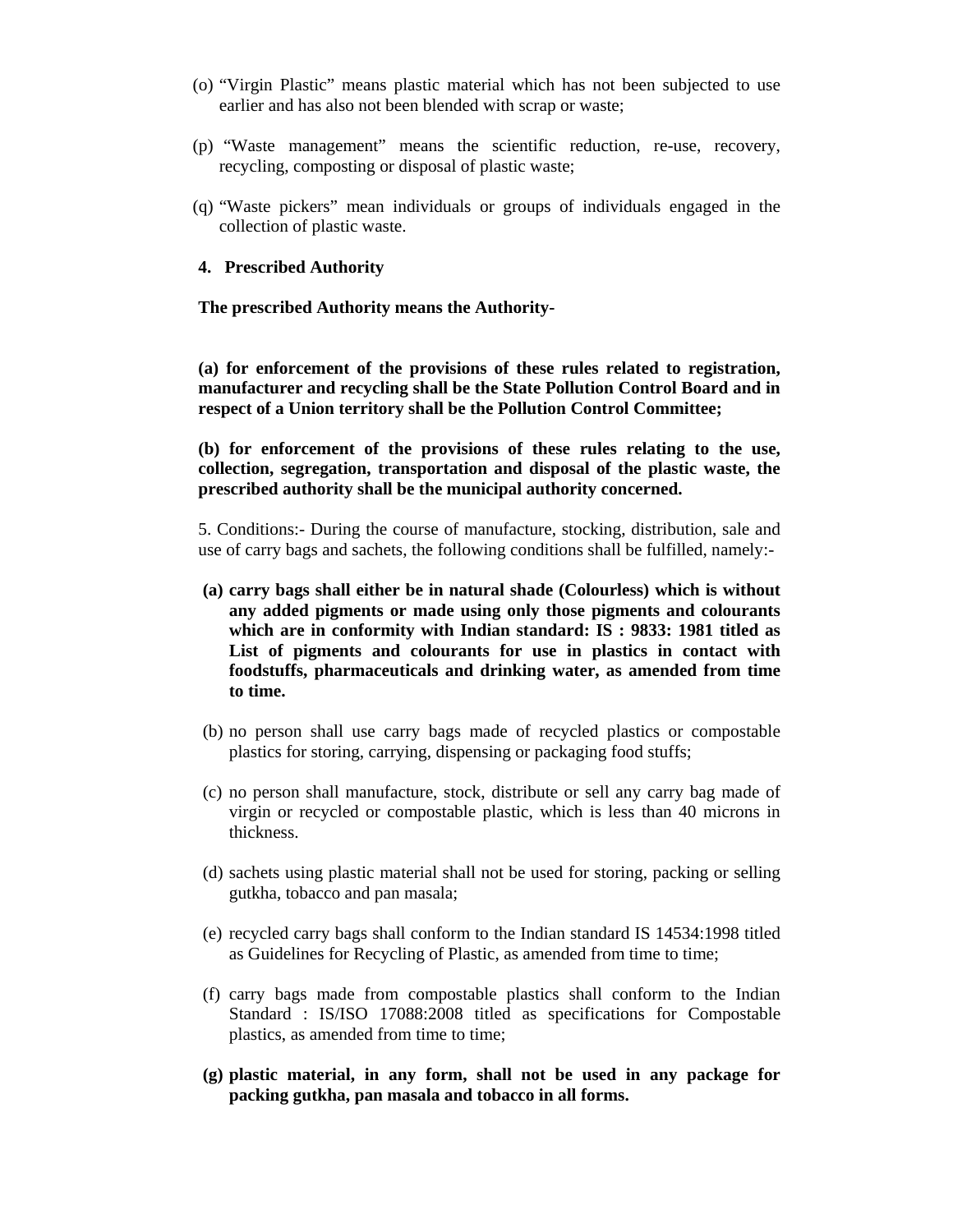- (o) "Virgin Plastic" means plastic material which has not been subjected to use earlier and has also not been blended with scrap or waste;
- (p) "Waste management" means the scientific reduction, re-use, recovery, recycling, composting or disposal of plastic waste;
- (q) "Waste pickers" mean individuals or groups of individuals engaged in the collection of plastic waste.

#### **4. Prescribed Authority**

#### **The prescribed Authority means the Authority-**

**(a) for enforcement of the provisions of these rules related to registration, manufacturer and recycling shall be the State Pollution Control Board and in respect of a Union territory shall be the Pollution Control Committee;** 

**(b) for enforcement of the provisions of these rules relating to the use, collection, segregation, transportation and disposal of the plastic waste, the prescribed authority shall be the municipal authority concerned.** 

5. Conditions:- During the course of manufacture, stocking, distribution, sale and use of carry bags and sachets, the following conditions shall be fulfilled, namely:-

- **(a) carry bags shall either be in natural shade (Colourless) which is without any added pigments or made using only those pigments and colourants which are in conformity with Indian standard: IS : 9833: 1981 titled as List of pigments and colourants for use in plastics in contact with foodstuffs, pharmaceuticals and drinking water, as amended from time to time.**
- (b) no person shall use carry bags made of recycled plastics or compostable plastics for storing, carrying, dispensing or packaging food stuffs;
- (c) no person shall manufacture, stock, distribute or sell any carry bag made of virgin or recycled or compostable plastic, which is less than 40 microns in thickness.
- (d) sachets using plastic material shall not be used for storing, packing or selling gutkha, tobacco and pan masala;
- (e) recycled carry bags shall conform to the Indian standard IS 14534:1998 titled as Guidelines for Recycling of Plastic, as amended from time to time;
- (f) carry bags made from compostable plastics shall conform to the Indian Standard : IS/ISO 17088:2008 titled as specifications for Compostable plastics, as amended from time to time;
- **(g) plastic material, in any form, shall not be used in any package for packing gutkha, pan masala and tobacco in all forms.**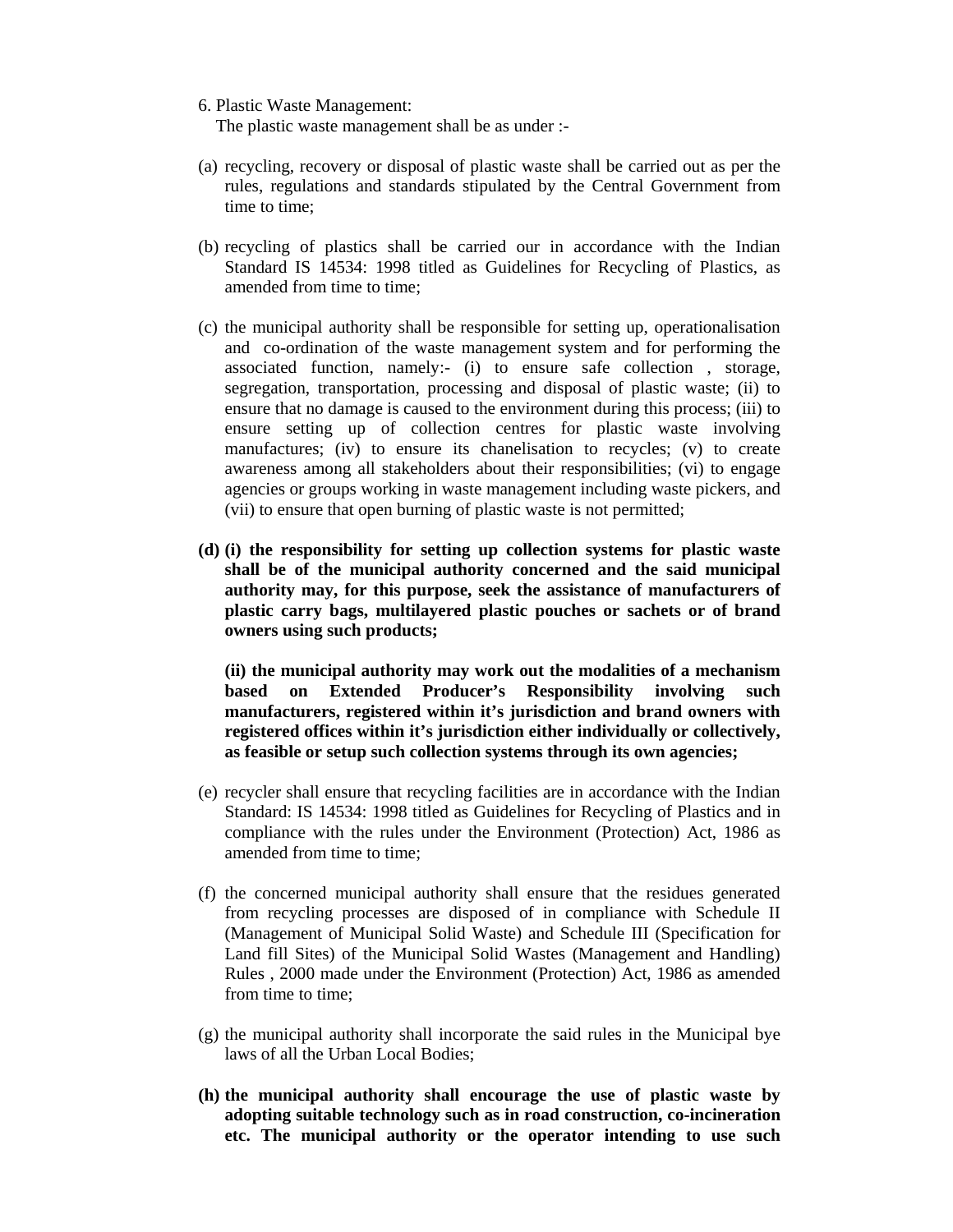6. Plastic Waste Management:

The plastic waste management shall be as under :-

- (a) recycling, recovery or disposal of plastic waste shall be carried out as per the rules, regulations and standards stipulated by the Central Government from time to time;
- (b) recycling of plastics shall be carried our in accordance with the Indian Standard IS 14534: 1998 titled as Guidelines for Recycling of Plastics, as amended from time to time;
- (c) the municipal authority shall be responsible for setting up, operationalisation and co-ordination of the waste management system and for performing the associated function, namely:- (i) to ensure safe collection , storage, segregation, transportation, processing and disposal of plastic waste; (ii) to ensure that no damage is caused to the environment during this process; (iii) to ensure setting up of collection centres for plastic waste involving manufactures; (iv) to ensure its chanelisation to recycles; (v) to create awareness among all stakeholders about their responsibilities; (vi) to engage agencies or groups working in waste management including waste pickers, and (vii) to ensure that open burning of plastic waste is not permitted;
- **(d) (i) the responsibility for setting up collection systems for plastic waste shall be of the municipal authority concerned and the said municipal authority may, for this purpose, seek the assistance of manufacturers of plastic carry bags, multilayered plastic pouches or sachets or of brand owners using such products;**

**(ii) the municipal authority may work out the modalities of a mechanism based on Extended Producer's Responsibility involving such manufacturers, registered within it's jurisdiction and brand owners with registered offices within it's jurisdiction either individually or collectively, as feasible or setup such collection systems through its own agencies;** 

- (e) recycler shall ensure that recycling facilities are in accordance with the Indian Standard: IS 14534: 1998 titled as Guidelines for Recycling of Plastics and in compliance with the rules under the Environment (Protection) Act, 1986 as amended from time to time;
- (f) the concerned municipal authority shall ensure that the residues generated from recycling processes are disposed of in compliance with Schedule II (Management of Municipal Solid Waste) and Schedule III (Specification for Land fill Sites) of the Municipal Solid Wastes (Management and Handling) Rules , 2000 made under the Environment (Protection) Act, 1986 as amended from time to time;
- (g) the municipal authority shall incorporate the said rules in the Municipal bye laws of all the Urban Local Bodies;
- **(h) the municipal authority shall encourage the use of plastic waste by adopting suitable technology such as in road construction, co-incineration etc. The municipal authority or the operator intending to use such**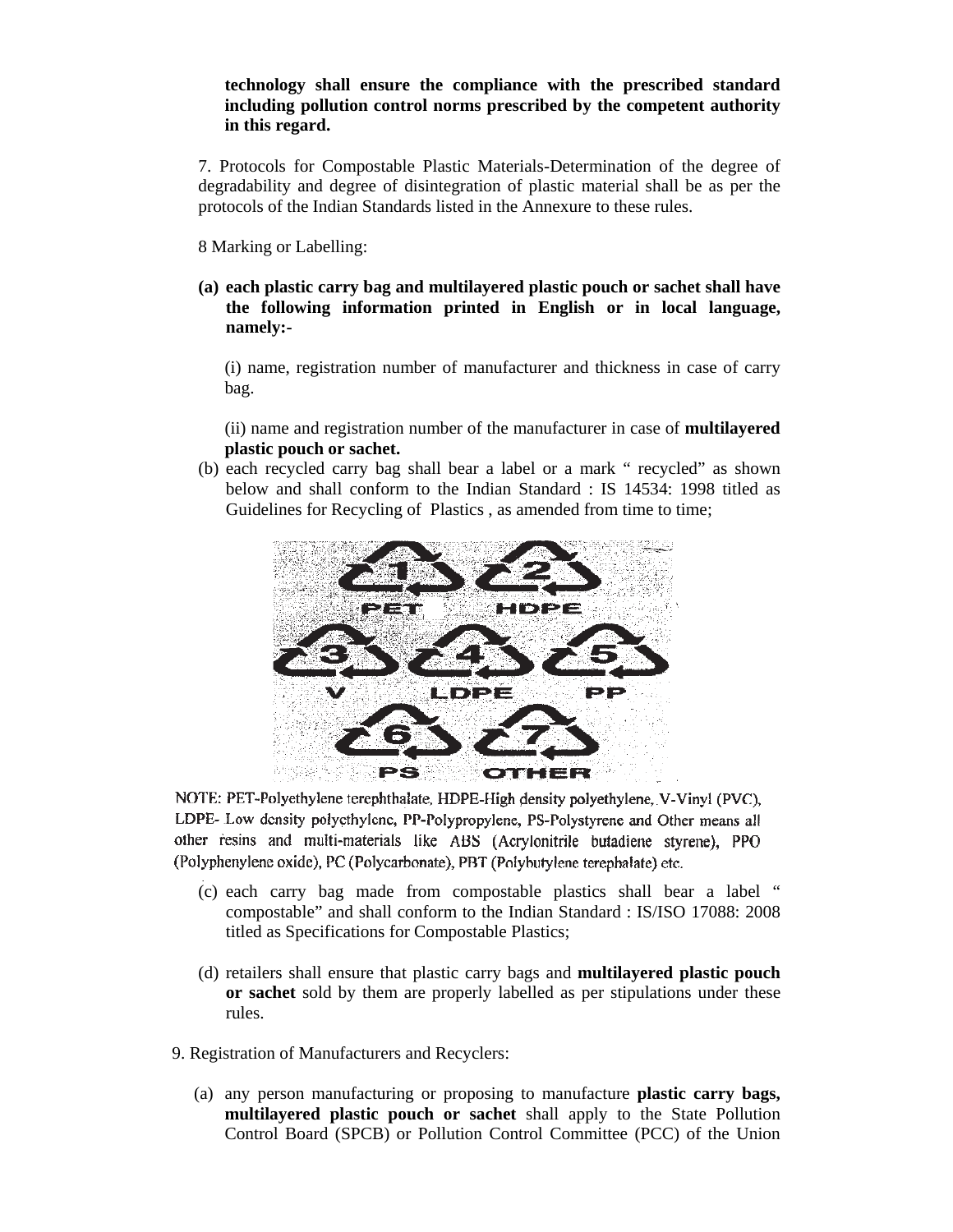### **technology shall ensure the compliance with the prescribed standard including pollution control norms prescribed by the competent authority in this regard.**

7. Protocols for Compostable Plastic Materials-Determination of the degree of degradability and degree of disintegration of plastic material shall be as per the protocols of the Indian Standards listed in the Annexure to these rules.

8 Marking or Labelling:

**(a) each plastic carry bag and multilayered plastic pouch or sachet shall have the following information printed in English or in local language, namely:-** 

(i) name, registration number of manufacturer and thickness in case of carry bag.

(ii) name and registration number of the manufacturer in case of **multilayered plastic pouch or sachet.**

(b) each recycled carry bag shall bear a label or a mark " recycled" as shown below and shall conform to the Indian Standard : IS 14534: 1998 titled as Guidelines for Recycling of Plastics , as amended from time to time;



NOTE: PET-Polyethylene terephthalate, HDPE-High density polyethylene, V-Vinyl (PVC), LDPE- Low density polyethylene, PP-Polypropylene, PS-Polystyrene and Other means all other resins and multi-materials like ABS (Acrylonitrile butadiene styrene). PPO (Polyphenylene oxide), PC (Polycarbonate), PBT (Polybutylene terephalate) etc.

- (c) each carry bag made from compostable plastics shall bear a label " compostable" and shall conform to the Indian Standard : IS/ISO 17088: 2008 titled as Specifications for Compostable Plastics;
- (d) retailers shall ensure that plastic carry bags and **multilayered plastic pouch or sachet** sold by them are properly labelled as per stipulations under these rules.
- 9. Registration of Manufacturers and Recyclers:
	- (a) any person manufacturing or proposing to manufacture **plastic carry bags, multilayered plastic pouch or sachet** shall apply to the State Pollution Control Board (SPCB) or Pollution Control Committee (PCC) of the Union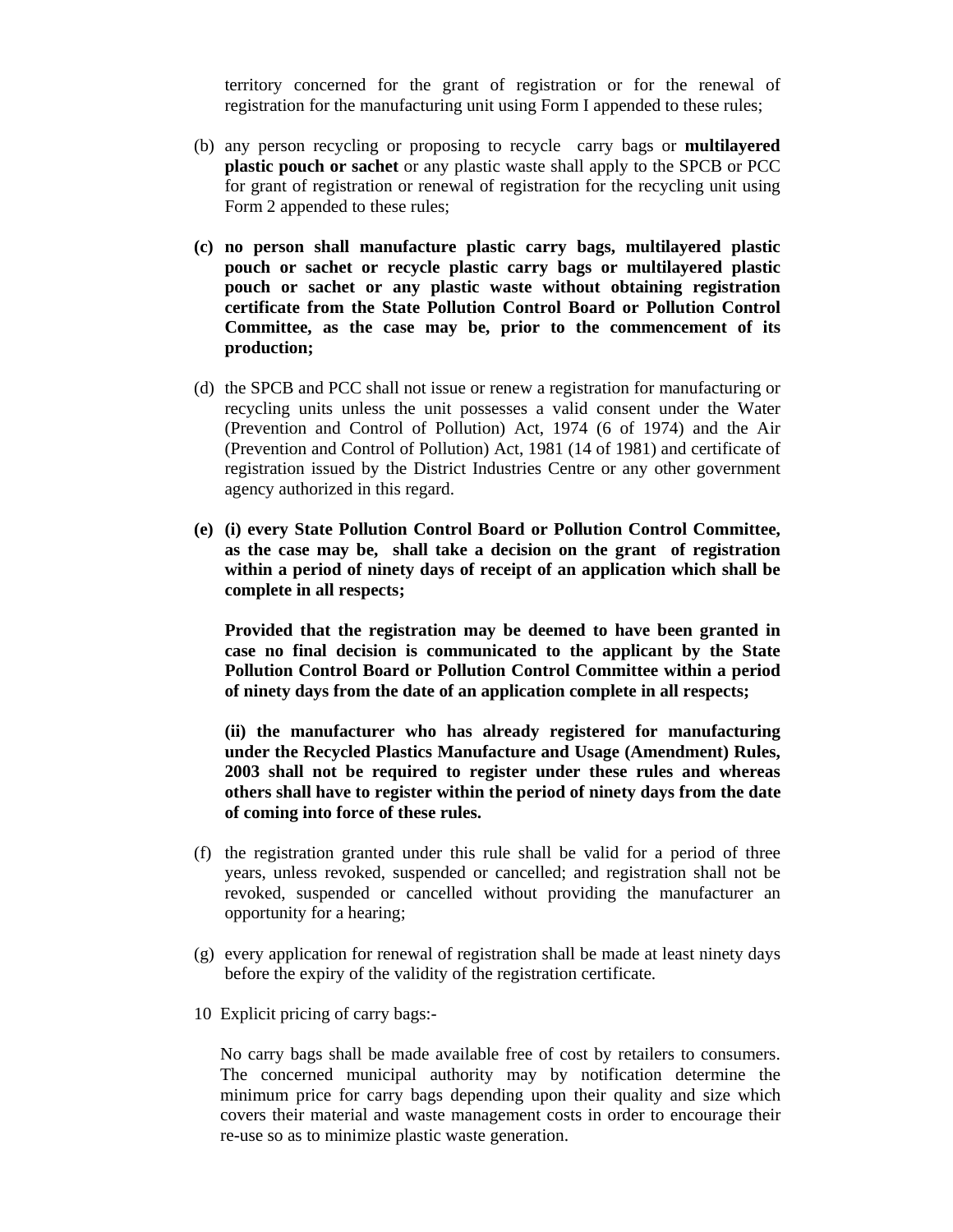territory concerned for the grant of registration or for the renewal of registration for the manufacturing unit using Form I appended to these rules;

- (b) any person recycling or proposing to recycle carry bags or **multilayered plastic pouch or sachet** or any plastic waste shall apply to the SPCB or PCC for grant of registration or renewal of registration for the recycling unit using Form 2 appended to these rules;
- **(c) no person shall manufacture plastic carry bags, multilayered plastic pouch or sachet or recycle plastic carry bags or multilayered plastic pouch or sachet or any plastic waste without obtaining registration certificate from the State Pollution Control Board or Pollution Control Committee, as the case may be, prior to the commencement of its production;**
- (d) the SPCB and PCC shall not issue or renew a registration for manufacturing or recycling units unless the unit possesses a valid consent under the Water (Prevention and Control of Pollution) Act, 1974 (6 of 1974) and the Air (Prevention and Control of Pollution) Act, 1981 (14 of 1981) and certificate of registration issued by the District Industries Centre or any other government agency authorized in this regard.
- **(e) (i) every State Pollution Control Board or Pollution Control Committee, as the case may be, shall take a decision on the grant of registration within a period of ninety days of receipt of an application which shall be complete in all respects;**

**Provided that the registration may be deemed to have been granted in case no final decision is communicated to the applicant by the State Pollution Control Board or Pollution Control Committee within a period of ninety days from the date of an application complete in all respects;** 

**(ii) the manufacturer who has already registered for manufacturing under the Recycled Plastics Manufacture and Usage (Amendment) Rules, 2003 shall not be required to register under these rules and whereas others shall have to register within the period of ninety days from the date of coming into force of these rules.** 

- (f) the registration granted under this rule shall be valid for a period of three years, unless revoked, suspended or cancelled; and registration shall not be revoked, suspended or cancelled without providing the manufacturer an opportunity for a hearing;
- (g) every application for renewal of registration shall be made at least ninety days before the expiry of the validity of the registration certificate.
- 10 Explicit pricing of carry bags:-

No carry bags shall be made available free of cost by retailers to consumers. The concerned municipal authority may by notification determine the minimum price for carry bags depending upon their quality and size which covers their material and waste management costs in order to encourage their re-use so as to minimize plastic waste generation.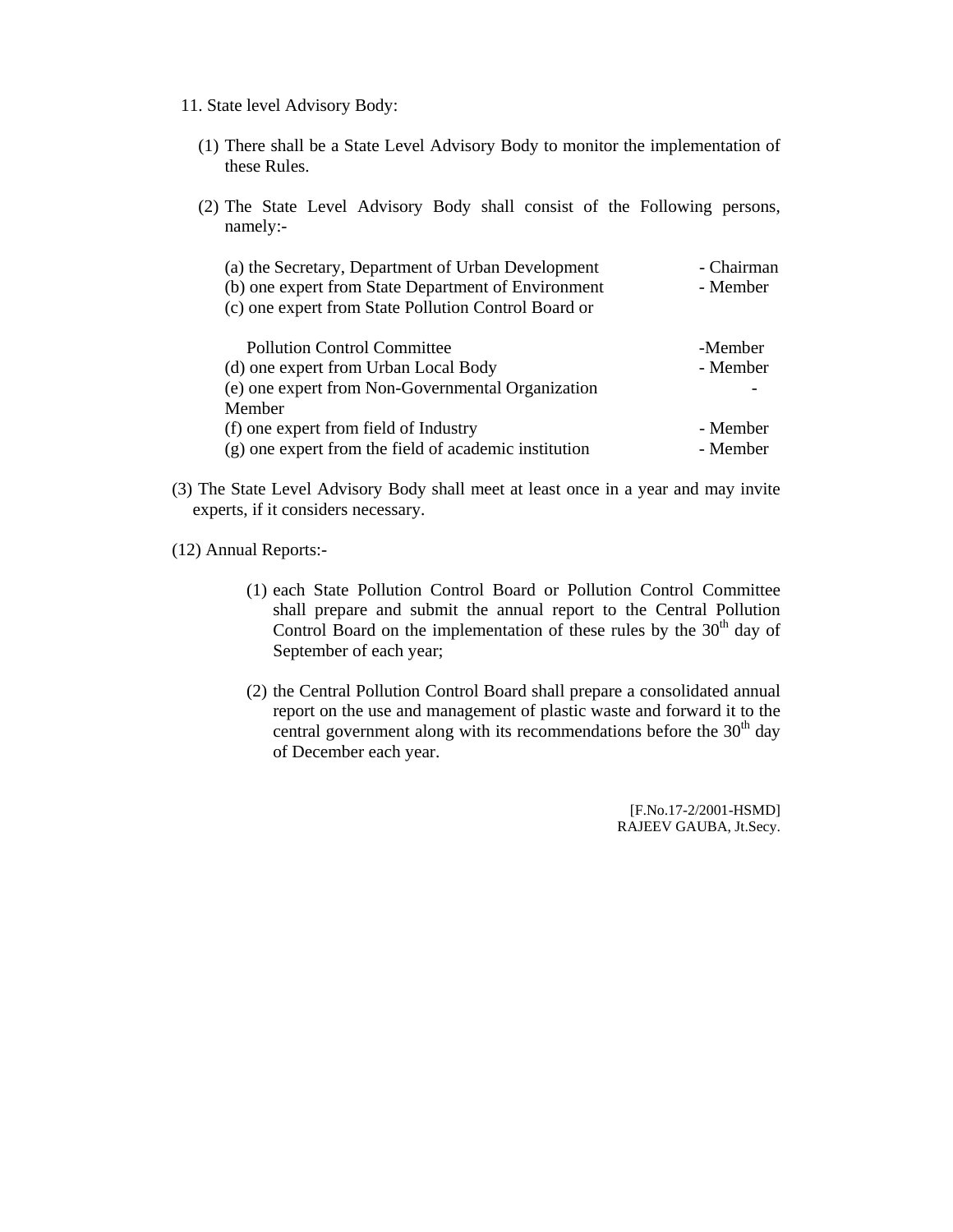- 11. State level Advisory Body:
	- (1) There shall be a State Level Advisory Body to monitor the implementation of these Rules.
	- (2) The State Level Advisory Body shall consist of the Following persons, namely:-

| (a) the Secretary, Department of Urban Development    | - Chairman |
|-------------------------------------------------------|------------|
| (b) one expert from State Department of Environment   | - Member   |
| (c) one expert from State Pollution Control Board or  |            |
|                                                       |            |
| <b>Pollution Control Committee</b>                    | -Member    |
| (d) one expert from Urban Local Body                  | - Member   |
| (e) one expert from Non-Governmental Organization     |            |
| Member                                                |            |
| (f) one expert from field of Industry                 | - Member   |
| (g) one expert from the field of academic institution | - Member   |

(3) The State Level Advisory Body shall meet at least once in a year and may invite experts, if it considers necessary.

(12) Annual Reports:-

- (1) each State Pollution Control Board or Pollution Control Committee shall prepare and submit the annual report to the Central Pollution Control Board on the implementation of these rules by the  $30<sup>th</sup>$  day of September of each year;
- (2) the Central Pollution Control Board shall prepare a consolidated annual report on the use and management of plastic waste and forward it to the central government along with its recommendations before the  $30<sup>th</sup>$  day of December each year.

[F.No.17-2/2001-HSMD] RAJEEV GAUBA, Jt.Secy.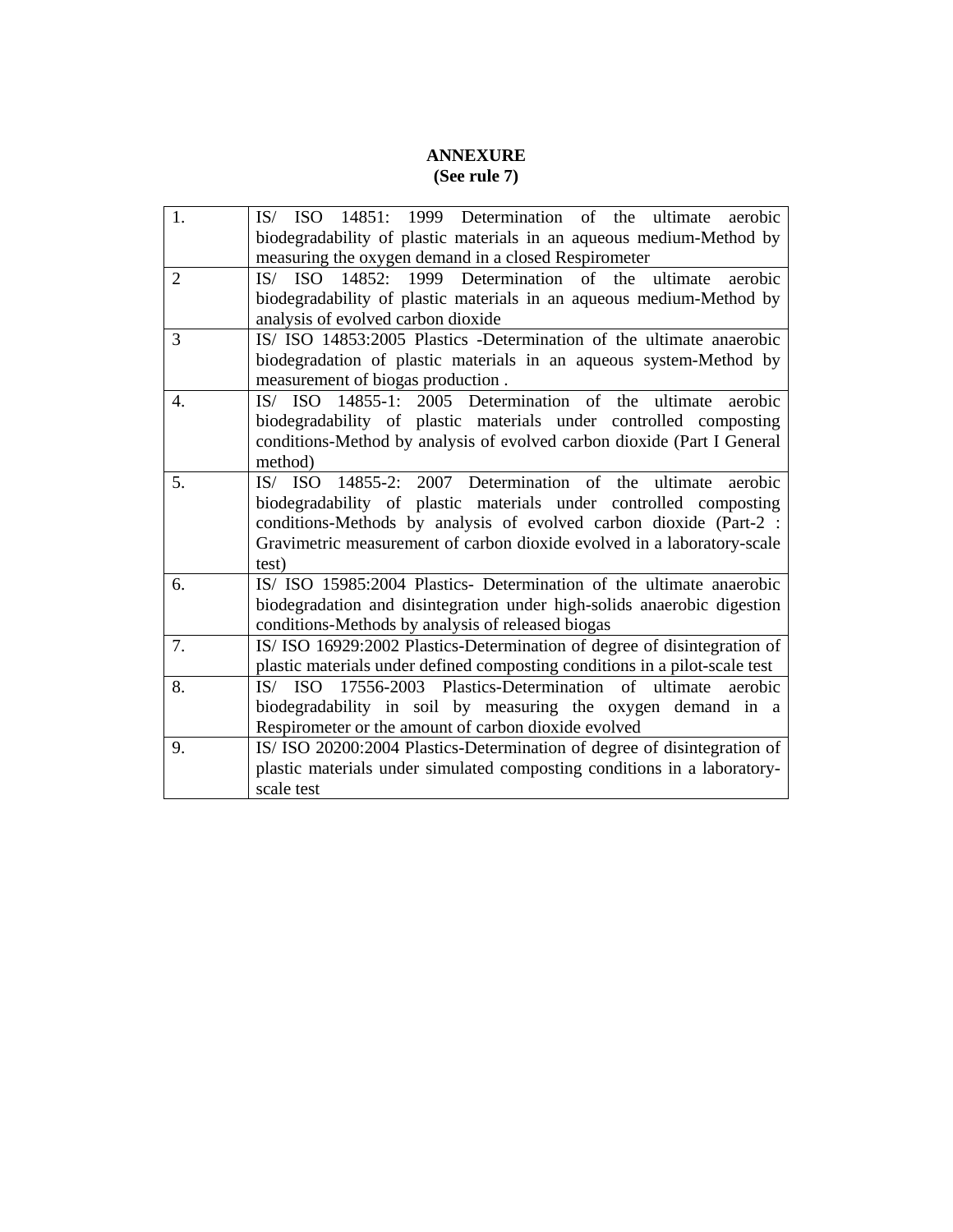## **ANNEXURE (See rule 7)**

| 1.                                                          | IS/ ISO 14851: 1999 Determination of the<br>ultimate<br>aerobic                                                                                     |  |  |  |
|-------------------------------------------------------------|-----------------------------------------------------------------------------------------------------------------------------------------------------|--|--|--|
|                                                             | biodegradability of plastic materials in an aqueous medium-Method by                                                                                |  |  |  |
|                                                             | measuring the oxygen demand in a closed Respirometer                                                                                                |  |  |  |
| $\overline{2}$                                              | IS/ ISO 14852: 1999 Determination of the<br>ultimate<br>aerobic                                                                                     |  |  |  |
|                                                             | biodegradability of plastic materials in an aqueous medium-Method by                                                                                |  |  |  |
|                                                             | analysis of evolved carbon dioxide                                                                                                                  |  |  |  |
| 3                                                           | IS/ ISO 14853:2005 Plastics -Determination of the ultimate anaerobic                                                                                |  |  |  |
|                                                             | biodegradation of plastic materials in an aqueous system-Method by                                                                                  |  |  |  |
|                                                             | measurement of biogas production.                                                                                                                   |  |  |  |
| 4.                                                          | IS/ ISO 14855-1: 2005 Determination of the ultimate<br>aerobic                                                                                      |  |  |  |
|                                                             | biodegradability of plastic materials under controlled composting                                                                                   |  |  |  |
|                                                             | conditions-Method by analysis of evolved carbon dioxide (Part I General                                                                             |  |  |  |
|                                                             | method)<br>aerobic                                                                                                                                  |  |  |  |
| 14855-2: 2007 Determination of the ultimate<br>5.<br>IS/ISO |                                                                                                                                                     |  |  |  |
|                                                             | biodegradability of plastic materials under controlled composting                                                                                   |  |  |  |
|                                                             | conditions-Methods by analysis of evolved carbon dioxide (Part-2 :                                                                                  |  |  |  |
|                                                             | Gravimetric measurement of carbon dioxide evolved in a laboratory-scale                                                                             |  |  |  |
|                                                             | test)                                                                                                                                               |  |  |  |
| 6.                                                          | IS/ ISO 15985:2004 Plastics- Determination of the ultimate anaerobic                                                                                |  |  |  |
|                                                             | biodegradation and disintegration under high-solids anaerobic digestion                                                                             |  |  |  |
|                                                             | conditions-Methods by analysis of released biogas                                                                                                   |  |  |  |
| 7.                                                          | IS/ISO 16929:2002 Plastics-Determination of degree of disintegration of                                                                             |  |  |  |
| 8.                                                          | plastic materials under defined composting conditions in a pilot-scale test<br>IS/ ISO 17556-2003 Plastics-Determination of ultimate<br>aerobic     |  |  |  |
|                                                             |                                                                                                                                                     |  |  |  |
|                                                             | biodegradability in soil by measuring the oxygen demand in a                                                                                        |  |  |  |
| 9.                                                          | Respirometer or the amount of carbon dioxide evolved                                                                                                |  |  |  |
|                                                             | IS/ISO 20200:2004 Plastics-Determination of degree of disintegration of<br>plastic materials under simulated composting conditions in a laboratory- |  |  |  |
|                                                             | scale test                                                                                                                                          |  |  |  |
|                                                             |                                                                                                                                                     |  |  |  |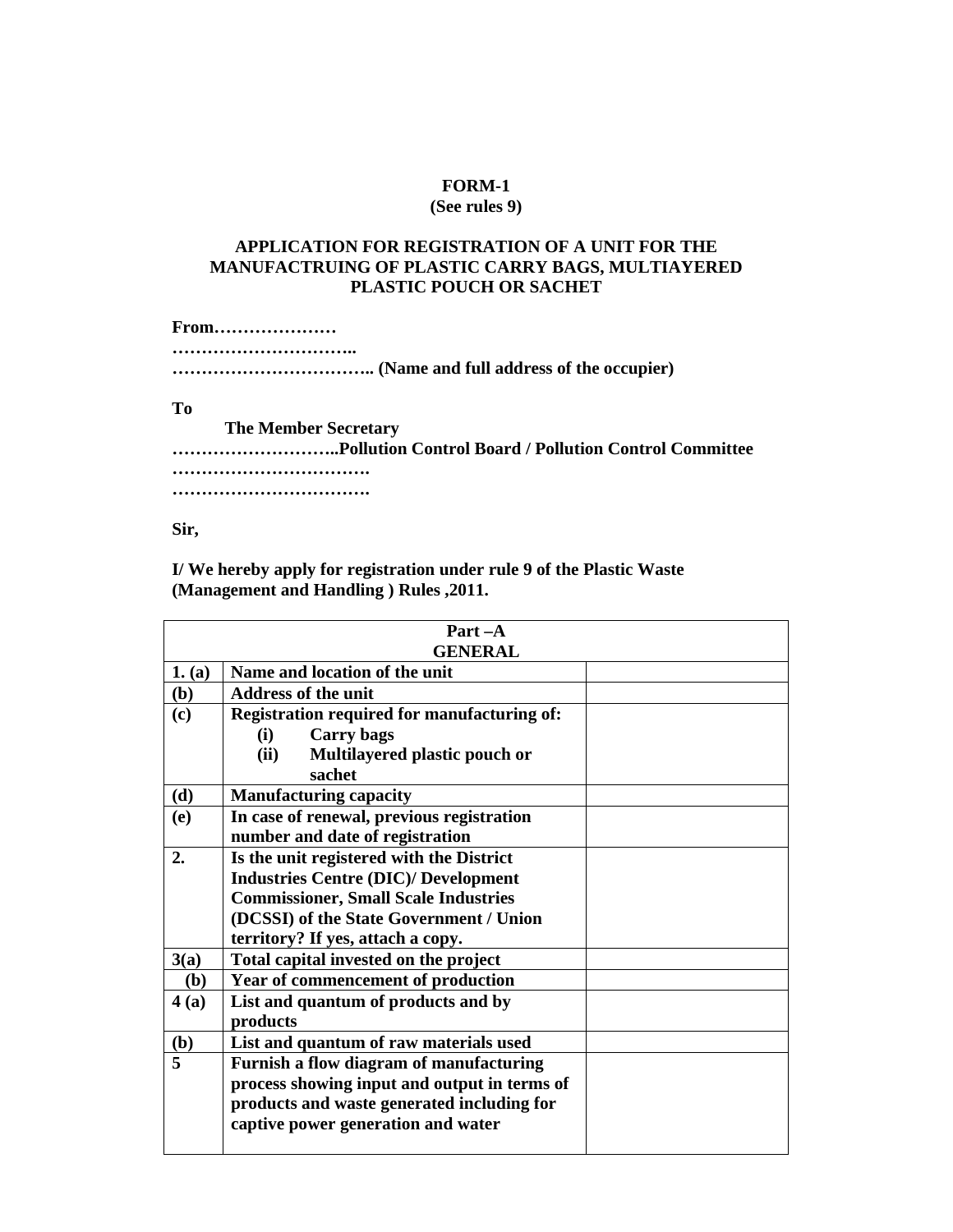### **FORM-1**

#### **(See rules 9)**

#### **APPLICATION FOR REGISTRATION OF A UNIT FOR THE MANUFACTRUING OF PLASTIC CARRY BAGS, MULTIAYERED PLASTIC POUCH OR SACHET**

**From………………… ………………………….. …………………………….. (Name and full address of the occupier)** 

**To** 

 **The Member Secretary ………………………..Pollution Control Board / Pollution Control Committee ……………………………. …………………………….** 

**Sir,** 

**I/ We hereby apply for registration under rule 9 of the Plastic Waste (Management and Handling ) Rules ,2011.** 

|                | $Part -A$                                    |  |  |  |
|----------------|----------------------------------------------|--|--|--|
|                | <b>GENERAL</b>                               |  |  |  |
| 1. (a)         | Name and location of the unit                |  |  |  |
| (b)            | <b>Address of the unit</b>                   |  |  |  |
| (c)            | Registration required for manufacturing of:  |  |  |  |
|                | <b>Carry</b> bags<br>(i)                     |  |  |  |
|                | (ii)<br>Multilayered plastic pouch or        |  |  |  |
|                | sachet                                       |  |  |  |
| (d)            | <b>Manufacturing capacity</b>                |  |  |  |
| (e)            | In case of renewal, previous registration    |  |  |  |
|                | number and date of registration              |  |  |  |
| 2.             | Is the unit registered with the District     |  |  |  |
|                | <b>Industries Centre (DIC)/ Development</b>  |  |  |  |
|                | <b>Commissioner, Small Scale Industries</b>  |  |  |  |
|                | (DCSSI) of the State Government / Union      |  |  |  |
|                | territory? If yes, attach a copy.            |  |  |  |
| 3(a)           | Total capital invested on the project        |  |  |  |
| (b)            | Year of commencement of production           |  |  |  |
| 4(a)           | List and quantum of products and by          |  |  |  |
|                | products                                     |  |  |  |
| (b)            | List and quantum of raw materials used       |  |  |  |
| $\overline{5}$ | Furnish a flow diagram of manufacturing      |  |  |  |
|                | process showing input and output in terms of |  |  |  |
|                | products and waste generated including for   |  |  |  |
|                | captive power generation and water           |  |  |  |
|                |                                              |  |  |  |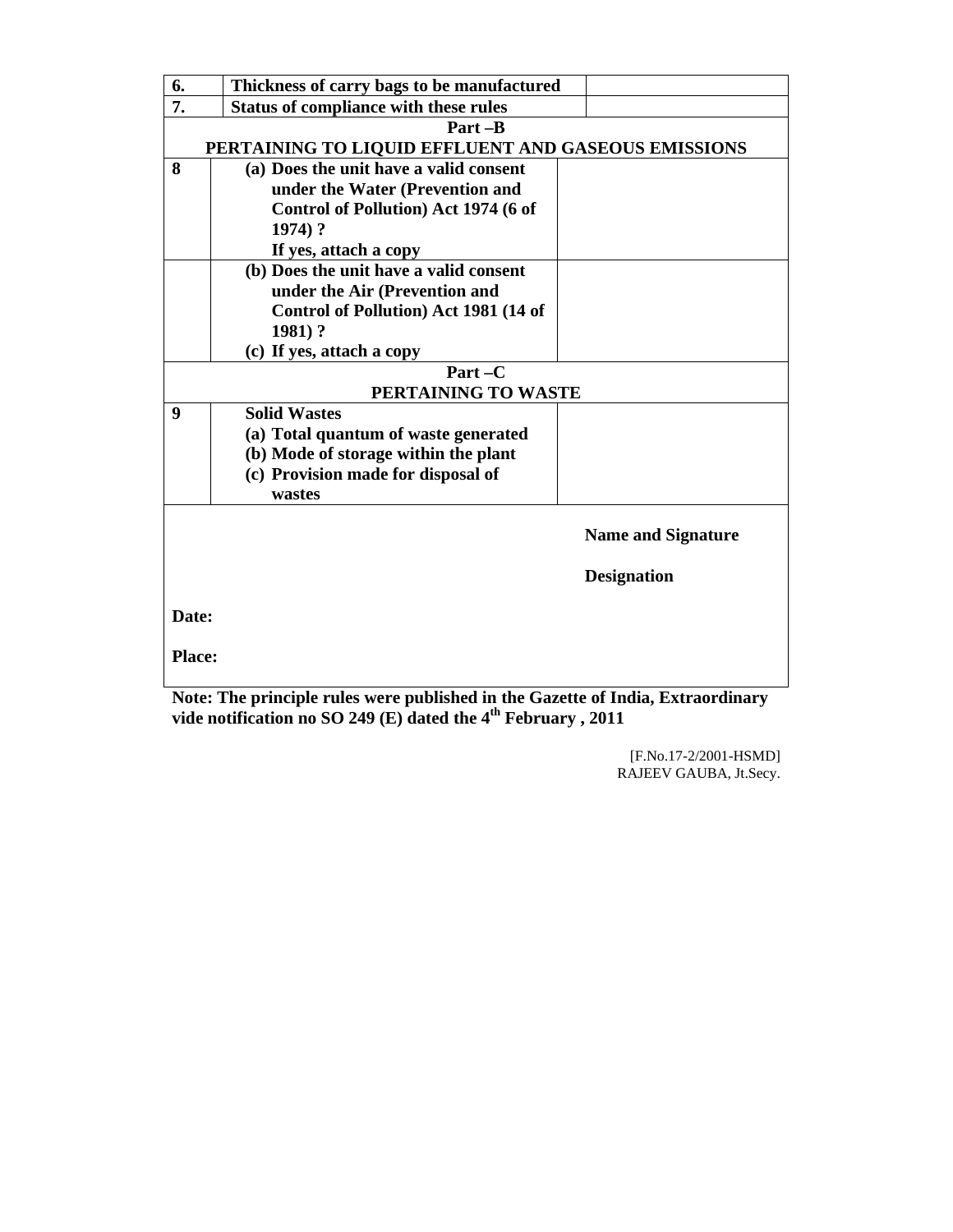| 6.                          | Thickness of carry bags to be manufactured                                     |                           |
|-----------------------------|--------------------------------------------------------------------------------|---------------------------|
| 7.                          | <b>Status of compliance with these rules</b>                                   |                           |
|                             | Part-B                                                                         |                           |
|                             | PERTAINING TO LIQUID EFFLUENT AND GASEOUS EMISSIONS                            |                           |
| 8                           | (a) Does the unit have a valid consent                                         |                           |
|                             | under the Water (Prevention and                                                |                           |
|                             | Control of Pollution) Act 1974 (6 of                                           |                           |
|                             | 1974) ?                                                                        |                           |
|                             | If yes, attach a copy                                                          |                           |
|                             | (b) Does the unit have a valid consent                                         |                           |
|                             | under the Air (Prevention and                                                  |                           |
|                             | Control of Pollution) Act 1981 (14 of                                          |                           |
|                             | 1981)?                                                                         |                           |
|                             | (c) If yes, attach a copy                                                      |                           |
|                             | $Part - C$                                                                     |                           |
|                             | PERTAINING TO WASTE                                                            |                           |
| 9                           | <b>Solid Wastes</b>                                                            |                           |
|                             | (a) Total quantum of waste generated                                           |                           |
|                             | (b) Mode of storage within the plant                                           |                           |
|                             | (c) Provision made for disposal of                                             |                           |
|                             | wastes                                                                         |                           |
|                             |                                                                                | <b>Name and Signature</b> |
|                             |                                                                                |                           |
|                             |                                                                                | <b>Designation</b>        |
| Date:                       |                                                                                |                           |
|                             |                                                                                |                           |
| <b>Place:</b>               |                                                                                |                           |
| $\mathbf{M}$ . $\mathbf{A}$ | <b>COLUMN</b><br>$\mathbf{A}$ . The set of $\mathbf{A}$<br>1.11.1.1.11.1.1.1.1 | <u>рт. э</u>              |

**Note: The principle rules were published in the Gazette of India, Extraordinary vide notification no SO 249 (E) dated the 4th February , 2011** 

> [F.No.17-2/2001-HSMD] RAJEEV GAUBA, Jt.Secy.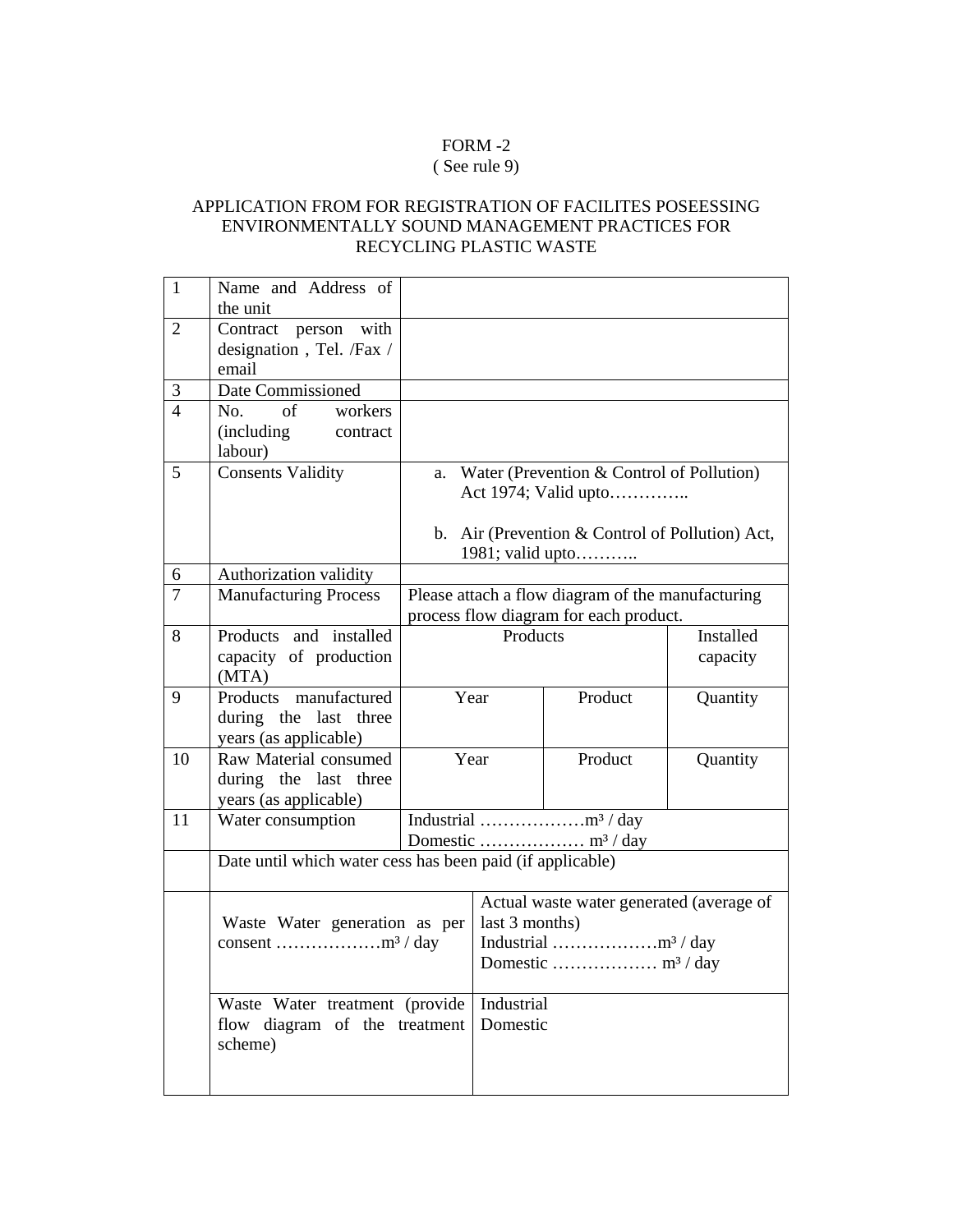# FORM -2

# ( See rule 9)

## APPLICATION FROM FOR REGISTRATION OF FACILITES POSEESSING ENVIRONMENTALLY SOUND MANAGEMENT PRACTICES FOR RECYCLING PLASTIC WASTE

| $\mathbf{1}$   | Name and Address of                                                        |                                                                                             |                                                            |                                                                                                                           |                       |
|----------------|----------------------------------------------------------------------------|---------------------------------------------------------------------------------------------|------------------------------------------------------------|---------------------------------------------------------------------------------------------------------------------------|-----------------------|
| $\overline{2}$ | the unit<br>Contract person with<br>designation, Tel. /Fax /<br>email      |                                                                                             |                                                            |                                                                                                                           |                       |
| 3              | Date Commissioned                                                          |                                                                                             |                                                            |                                                                                                                           |                       |
| $\overline{4}$ | No. of<br>workers<br><i>(including)</i><br>contract<br>labour)             |                                                                                             |                                                            |                                                                                                                           |                       |
| 5              | <b>Consents Validity</b>                                                   |                                                                                             |                                                            | a. Water (Prevention & Control of Pollution)<br>Act 1974; Valid upto<br>b. Air (Prevention $&$ Control of Pollution) Act, |                       |
|                |                                                                            |                                                                                             |                                                            | 1981; valid upto                                                                                                          |                       |
| 6              | Authorization validity                                                     |                                                                                             |                                                            |                                                                                                                           |                       |
| 7              | <b>Manufacturing Process</b>                                               | Please attach a flow diagram of the manufacturing<br>process flow diagram for each product. |                                                            |                                                                                                                           |                       |
| 8              | Products and installed<br>capacity of production<br>(MTA)                  | Products                                                                                    |                                                            |                                                                                                                           | Installed<br>capacity |
| 9              | Products manufactured<br>during the last three<br>years (as applicable)    | Year                                                                                        |                                                            | Product                                                                                                                   | Quantity              |
| 10             | Raw Material consumed<br>during the last three<br>years (as applicable)    | Year                                                                                        |                                                            | Product                                                                                                                   | Quantity              |
| 11             | Water consumption                                                          |                                                                                             |                                                            |                                                                                                                           |                       |
|                | Date until which water cess has been paid (if applicable)                  |                                                                                             |                                                            |                                                                                                                           |                       |
|                | Waste Water generation as per                                              |                                                                                             | Actual waste water generated (average of<br>last 3 months) |                                                                                                                           |                       |
|                | Waste Water treatment (provide<br>flow diagram of the treatment<br>scheme) |                                                                                             | Industrial<br>Domestic                                     |                                                                                                                           |                       |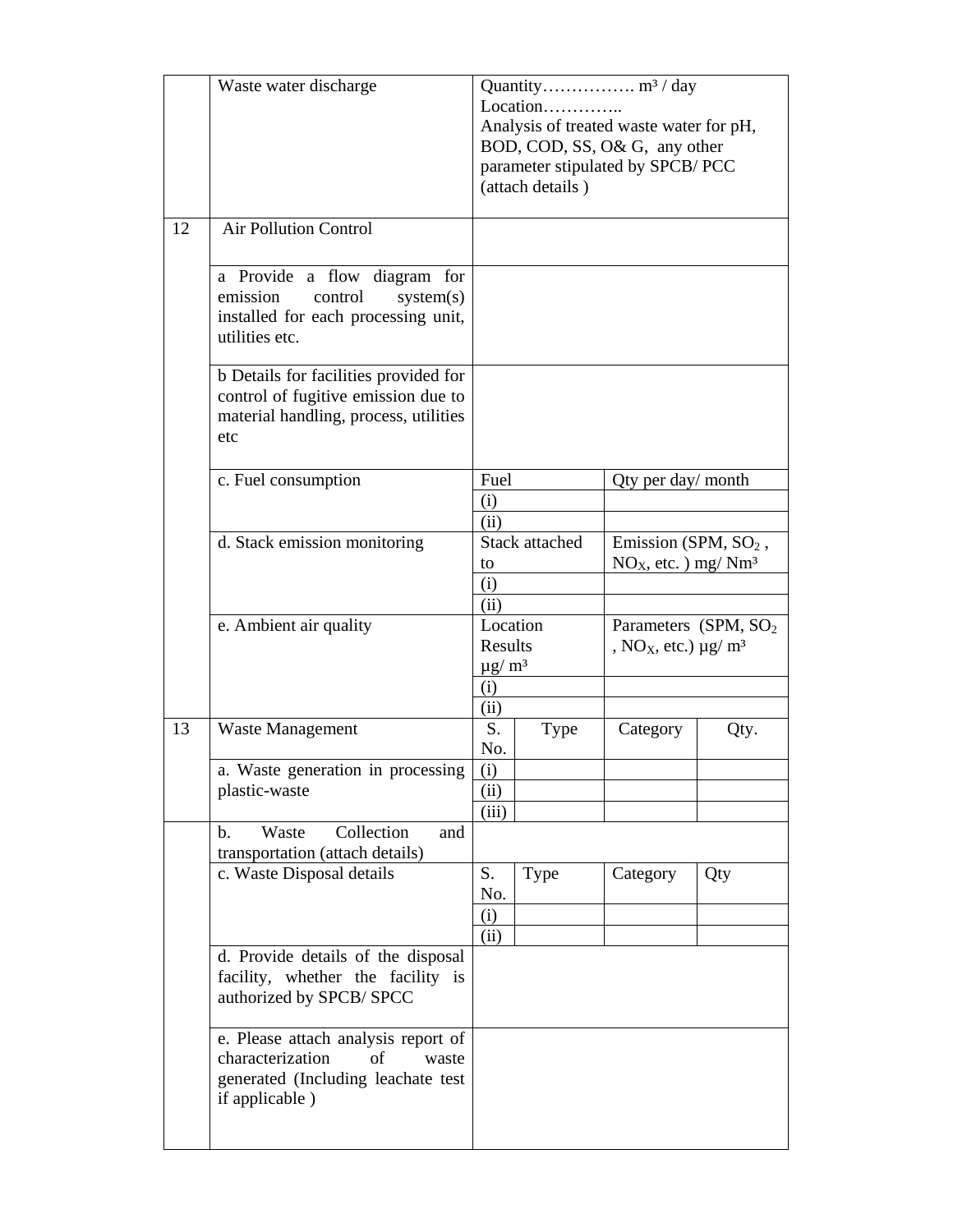|    | Waste water discharge                                                                                                          | Location<br>Analysis of treated waste water for pH,<br>BOD, COD, SS, O& G, any other<br>parameter stipulated by SPCB/PCC<br>(attach details) |                |                                                                                         |      |
|----|--------------------------------------------------------------------------------------------------------------------------------|----------------------------------------------------------------------------------------------------------------------------------------------|----------------|-----------------------------------------------------------------------------------------|------|
| 12 | <b>Air Pollution Control</b>                                                                                                   |                                                                                                                                              |                |                                                                                         |      |
|    | a Provide a flow diagram for<br>emission<br>control<br>system(s)<br>installed for each processing unit,<br>utilities etc.      |                                                                                                                                              |                |                                                                                         |      |
|    | b Details for facilities provided for<br>control of fugitive emission due to<br>material handling, process, utilities<br>etc   |                                                                                                                                              |                |                                                                                         |      |
|    | c. Fuel consumption                                                                                                            | Fuel                                                                                                                                         |                | Qty per day/ month                                                                      |      |
|    |                                                                                                                                | (i)                                                                                                                                          |                |                                                                                         |      |
|    |                                                                                                                                | (ii)                                                                                                                                         |                |                                                                                         |      |
|    | d. Stack emission monitoring                                                                                                   | to                                                                                                                                           | Stack attached | Emission (SPM, $SO2$ ,<br>$NOX$ , etc. ) mg/ $Nm3$                                      |      |
|    |                                                                                                                                | (i)                                                                                                                                          |                |                                                                                         |      |
|    |                                                                                                                                | (ii)                                                                                                                                         |                |                                                                                         |      |
|    | e. Ambient air quality                                                                                                         | Location<br><b>Results</b><br>$\mu$ g/m <sup>3</sup>                                                                                         |                | Parameters (SPM, SO <sub>2</sub> )<br>, NO <sub>X</sub> , etc.) $\mu$ g/ m <sup>3</sup> |      |
|    |                                                                                                                                | (i)                                                                                                                                          |                |                                                                                         |      |
|    |                                                                                                                                | (ii)                                                                                                                                         |                |                                                                                         |      |
| 13 | <b>Waste Management</b>                                                                                                        | S.<br>No.                                                                                                                                    | <b>Type</b>    | Category                                                                                | Qty. |
|    | a. Waste generation in processing                                                                                              | (i)                                                                                                                                          |                |                                                                                         |      |
|    | plastic-waste                                                                                                                  | (ii)<br>(iii)                                                                                                                                |                |                                                                                         |      |
|    | Collection<br>Waste<br>b.<br>and<br>transportation (attach details)                                                            |                                                                                                                                              |                |                                                                                         |      |
|    | c. Waste Disposal details                                                                                                      | S.<br>No.                                                                                                                                    | <b>Type</b>    | Category                                                                                | Qty  |
|    |                                                                                                                                | (i)                                                                                                                                          |                |                                                                                         |      |
|    |                                                                                                                                | (ii)                                                                                                                                         |                |                                                                                         |      |
|    | d. Provide details of the disposal<br>facility, whether the facility is<br>authorized by SPCB/ SPCC                            |                                                                                                                                              |                |                                                                                         |      |
|    | e. Please attach analysis report of<br>characterization<br>of<br>waste<br>generated (Including leachate test<br>if applicable) |                                                                                                                                              |                |                                                                                         |      |